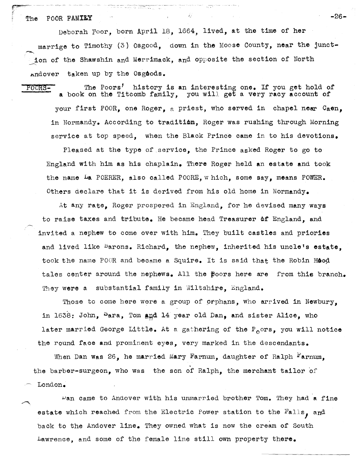## The POOR FAMILY  $\blacksquare$

~~-~

Deborah Poor, born April 18, 1664, lived, at the time of her marrige to Timothy (3) Osgood, dovm in the Moose County, near the junction of the Shawshin and Merrimack, and opposite the section of North Andover taken up by the Osgoods.

POORS- The Poors' history is an interesting one. If you get hold of a book on the Titcomb family, you will get a very racy account of your first POOR, one Roger, a priest, who served in chapel near  $Caen$ , in Normandy. According to tradition, Roger was rushing through Morning service at top speed, when the Black Prince came in to his devotions.

Pleased at the type of serVice, the Prince asked Roger to go to England with him as his chaplain. There Roger held an estate and took the name La POERER, also called POORE, w hich, some say, means POWER. Others declare that it is derived from his old home in Normandy.

At any rate, Roger prospered in England, for he devised many ways to raise taxes and tribute. He became head Treasurer of England, and invited a nephew to come over with him. They built castles and priories and lived like <sup>B</sup>arons. Richard, the nephew, inherited his uncle's estate. took the name POOR and became a Squire. It is said that the Robin Hood tales center around the nephews. All the  $\beta$ oors here are from this branch. They were a substantial family in Wiltshire, England.

Those to come hare were a group of prphans, who arrived in Newbury, in  $1638$ : John,  $S_{\alpha}$  ara, Tom and 14 year old Dan, and sister Alice, who later married George Little. At a gathering of the  $P_{0}$ ors, you will notice the round face and prominent eyes, very marked in the descendants.

When Dan was 26, he married Mary Farnum, daughter of Ralph  $F'$ arnum, the barber-surgeon, who was the son of Ralph, the merchant tailor of London.

 $\nu$ an came to Andover with his unmarried brother Tom. They had a fine estate which reached from the Electric Power station to the Falls, and back to the Andover line. They owned what is now the cream of South .Lawrence, and some of the female line still own property there.